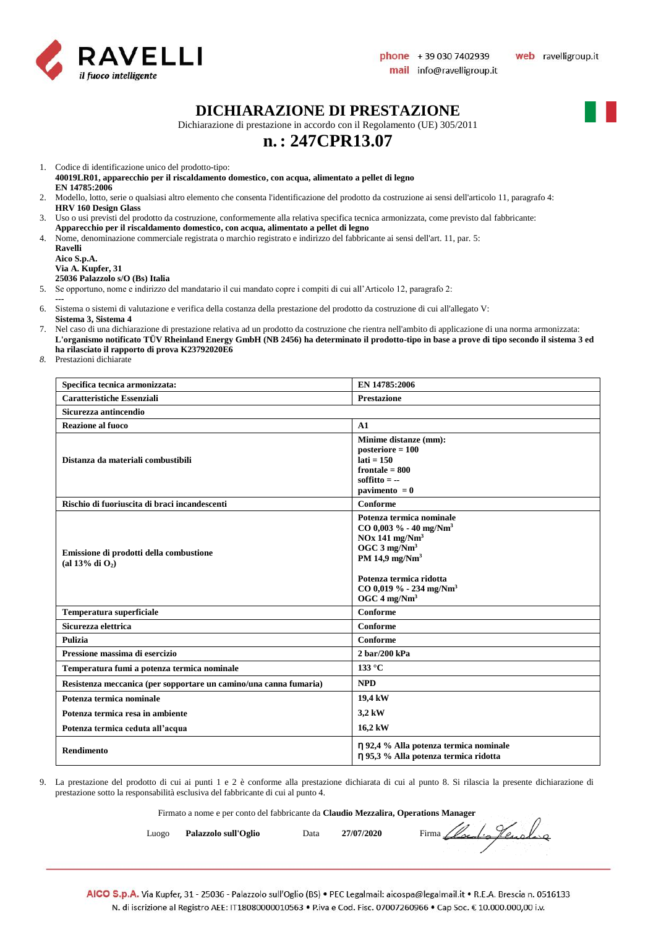

#### **DICHIARAZIONE DI PRESTAZIONE**

Dichiarazione di prestazione in accordo con il Regolamento (UE) 305/2011

### **n.: 247CPR13.07**

1. Codice di identificazione unico del prodotto-tipo:

**40019LR01, apparecchio per il riscaldamento domestico, con acqua, alimentato a pellet di legno EN 14785:2006**

- 2. Modello, lotto, serie o qualsiasi altro elemento che consenta l'identificazione del prodotto da costruzione ai sensi dell'articolo 11, paragrafo 4: **HRV 160 Design Glass**
- 3. Uso o usi previsti del prodotto da costruzione, conformemente alla relativa specifica tecnica armonizzata, come previsto dal fabbricante:
- **Apparecchio per il riscaldamento domestico, con acqua, alimentato a pellet di legno**
- 4. Nome, denominazione commerciale registrata o marchio registrato e indirizzo del fabbricante ai sensi dell'art. 11, par. 5: **Ravelli**

| кауеш       |                                 |
|-------------|---------------------------------|
| Aico S.p.A. |                                 |
|             | Via A. Kupfer, 31               |
|             | 25036 Palazzolo s/O (Bs) Italia |

5. Se opportuno, nome e indirizzo del mandatario il cui mandato copre i compiti di cui all'Articolo 12, paragrafo 2:

- **---**
- 6. Sistema o sistemi di valutazione e verifica della costanza della prestazione del prodotto da costruzione di cui all'allegato V: **Sistema 3, Sistema 4**
- 7. Nel caso di una dichiarazione di prestazione relativa ad un prodotto da costruzione che rientra nell'ambito di applicazione di una norma armonizzata: **L'organismo notificato TÜV Rheinland Energy GmbH (NB 2456) ha determinato il prodotto-tipo in base a prove di tipo secondo il sistema 3 ed ha rilasciato il rapporto di prova K23792020E6**
- *8.* Prestazioni dichiarate

| Specifica tecnica armonizzata:                                    | EN 14785:2006                                                                                                                                                                                                                                      |
|-------------------------------------------------------------------|----------------------------------------------------------------------------------------------------------------------------------------------------------------------------------------------------------------------------------------------------|
| <b>Caratteristiche Essenziali</b>                                 | <b>Prestazione</b>                                                                                                                                                                                                                                 |
| Sicurezza antincendio                                             |                                                                                                                                                                                                                                                    |
| <b>Reazione al fuoco</b>                                          | A1                                                                                                                                                                                                                                                 |
| Distanza da materiali combustibili                                | Minime distanze (mm):<br>$posterior = 100$<br>$lati = 150$<br>frontale $= 800$<br>soffitto $= -$<br>pavimento $= 0$                                                                                                                                |
| Rischio di fuoriuscita di braci incandescenti                     | Conforme                                                                                                                                                                                                                                           |
| Emissione di prodotti della combustione<br>(al 13% di $O_2$ )     | Potenza termica nominale<br>$CO$ 0,003 % - 40 mg/Nm <sup>3</sup><br>$NOx$ 141 mg/ $Nm3$<br>OGC $3 \text{ mg}/\text{Nm}^3$<br>PM 14,9 mg/ $Nm3$<br>Potenza termica ridotta<br>CO 0,019 % - 234 mg/Nm <sup>3</sup><br>OGC $4 \text{ mg}/\text{Nm}^3$ |
| Temperatura superficiale                                          | Conforme                                                                                                                                                                                                                                           |
| Sicurezza elettrica                                               | Conforme                                                                                                                                                                                                                                           |
| <b>Pulizia</b>                                                    | Conforme                                                                                                                                                                                                                                           |
| Pressione massima di esercizio                                    | 2 bar/200 kPa                                                                                                                                                                                                                                      |
| Temperatura fumi a potenza termica nominale                       | $133^{\circ}$ C                                                                                                                                                                                                                                    |
| Resistenza meccanica (per sopportare un camino/una canna fumaria) | <b>NPD</b>                                                                                                                                                                                                                                         |
| Potenza termica nominale                                          | 19,4 kW                                                                                                                                                                                                                                            |
| Potenza termica resa in ambiente                                  | 3,2 kW                                                                                                                                                                                                                                             |
| Potenza termica ceduta all'acqua                                  | 16,2 kW                                                                                                                                                                                                                                            |
| <b>Rendimento</b>                                                 | η 92,4 % Alla potenza termica nominale<br>η 95,3 % Alla potenza termica ridotta                                                                                                                                                                    |

9. La prestazione del prodotto di cui ai punti 1 e 2 è conforme alla prestazione dichiarata di cui al punto 8. Si rilascia la presente dichiarazione di prestazione sotto la responsabilità esclusiva del fabbricante di cui al punto 4.

Firmato a nome e per conto del fabbricante da **Claudio Mezzalira, Operations Manager**

Luogo **Palazzolo sull'Oglio** Data 27/07/2020 Firma *Local of Curola* qu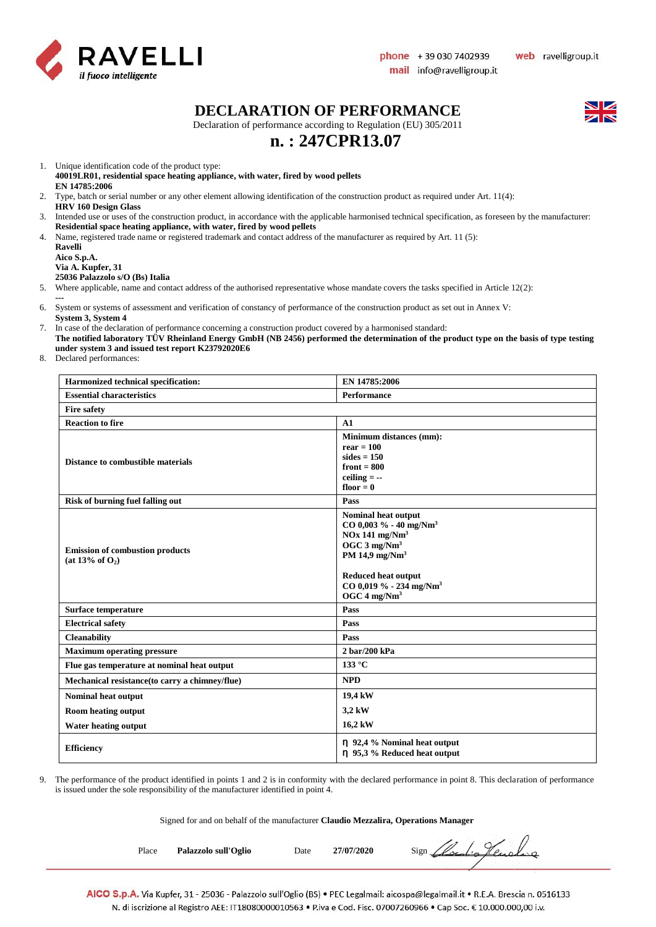

#### **DECLARATION OF PERFORMANCE**

Declaration of performance according to Regulation (EU) 305/2011

## **n. : 247CPR13.07**

1. Unique identification code of the product type:

- **40019LR01, residential space heating appliance, with water, fired by wood pellets EN 14785:2006**
- 2. Type, batch or serial number or any other element allowing identification of the construction product as required under Art. 11(4): **HRV 160 Design Glass**
- 3. Intended use or uses of the construction product, in accordance with the applicable harmonised technical specification, as foreseen by the manufacturer: **Residential space heating appliance, with water, fired by wood pellets**
- 4. Name, registered trade name or registered trademark and contact address of the manufacturer as required by Art. 11 (5):

**Ravelli Aico S.p.A. Via A. Kupfer, 31**

**25036 Palazzolo s/O (Bs) Italia**

- 5. Where applicable, name and contact address of the authorised representative whose mandate covers the tasks specified in Article 12(2):
- **---** 6. System or systems of assessment and verification of constancy of performance of the construction product as set out in Annex V: **System 3, System 4**
- 7. In case of the declaration of performance concerning a construction product covered by a harmonised standard:
- **The notified laboratory TÜV Rheinland Energy GmbH (NB 2456) performed the determination of the product type on the basis of type testing under system 3 and issued test report K23792020E6**
- 8. Declared performances:

| Harmonized technical specification:                             | EN 14785:2006                                                                                                                                                                                                                                    |  |
|-----------------------------------------------------------------|--------------------------------------------------------------------------------------------------------------------------------------------------------------------------------------------------------------------------------------------------|--|
| <b>Essential characteristics</b>                                | <b>Performance</b>                                                                                                                                                                                                                               |  |
| <b>Fire safety</b>                                              |                                                                                                                                                                                                                                                  |  |
| <b>Reaction to fire</b>                                         | A1                                                                                                                                                                                                                                               |  |
| <b>Distance to combustible materials</b>                        | Minimum distances (mm):<br>$rear = 100$<br>sides $= 150$<br>front $= 800$<br>ceiling $= -$<br>floor $= 0$                                                                                                                                        |  |
| <b>Risk of burning fuel falling out</b>                         | Pass                                                                                                                                                                                                                                             |  |
| <b>Emission of combustion products</b><br>(at $13\%$ of $O_2$ ) | Nominal heat output<br>$CO$ 0,003 % - 40 mg/Nm <sup>3</sup><br>$NOx$ 141 mg/ $Nm3$<br>OGC $3 \text{ mg}/\text{Nm}^3$<br>PM 14,9 mg/ $Nm3$<br><b>Reduced heat output</b><br>CO 0,019 % - 234 mg/Nm <sup>3</sup><br>OGC $4 \text{ mg}/\text{Nm}^3$ |  |
| Surface temperature                                             | Pass                                                                                                                                                                                                                                             |  |
| <b>Electrical safety</b>                                        | Pass                                                                                                                                                                                                                                             |  |
| <b>Cleanability</b>                                             | Pass                                                                                                                                                                                                                                             |  |
| <b>Maximum operating pressure</b>                               | 2 bar/200 kPa                                                                                                                                                                                                                                    |  |
| Flue gas temperature at nominal heat output                     | 133 °C                                                                                                                                                                                                                                           |  |
| Mechanical resistance(to carry a chimney/flue)                  | <b>NPD</b>                                                                                                                                                                                                                                       |  |
| <b>Nominal heat output</b>                                      | 19,4 kW                                                                                                                                                                                                                                          |  |
| Room heating output                                             | 3,2 kW                                                                                                                                                                                                                                           |  |
| <b>Water heating output</b>                                     | 16,2 kW                                                                                                                                                                                                                                          |  |
| <b>Efficiency</b>                                               | $\eta$ 92,4 % Nominal heat output<br>η 95,3 % Reduced heat output                                                                                                                                                                                |  |

9. The performance of the product identified in points 1 and 2 is in conformity with the declared performance in point 8. This declaration of performance is issued under the sole responsibility of the manufacturer identified in point 4.

Signed for and on behalf of the manufacturer **Claudio Mezzalira, Operations Manager**

Place **Palazzolo sull'Oglio** Date 27/07/2020 Sign *(local-a)* Lengthero

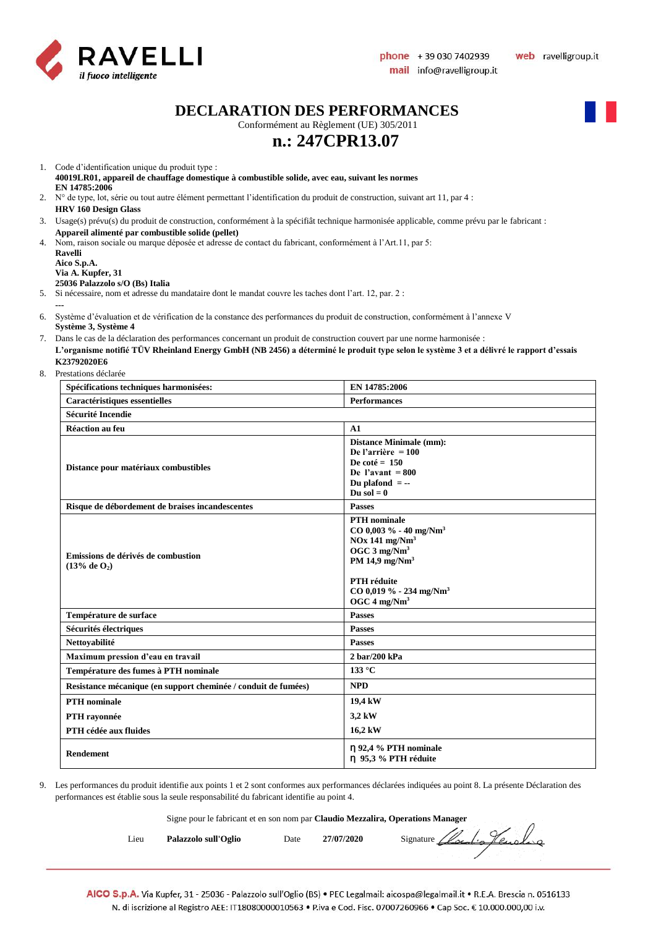

**DECLARATION DES PERFORMANCES**

Conformément au Règlement (UE) 305/2011

## **n.: 247CPR13.07**

- 1. Code d'identification unique du produit type : **40019LR01, appareil de chauffage domestique à combustible solide, avec eau, suivant les normes EN 14785:2006**
- 2. N° de type, lot, série ou tout autre élément permettant l'identification du produit de construction, suivant art 11, par 4 : **HRV 160 Design Glass**
- 3. Usage(s) prévu(s) du produit de construction, conformément à la spécifiât technique harmonisée applicable, comme prévu par le fabricant : **Appareil alimenté par combustible solide (pellet)**
- 4. Nom, raison sociale ou marque déposée et adresse de contact du fabricant, conformément à l'Art.11, par 5: **Ravelli**

**Aico S.p.A. Via A. Kupfer, 31**

**---**

#### **25036 Palazzolo s/O (Bs) Italia**

5. Si nécessaire, nom et adresse du mandataire dont le mandat couvre les taches dont l'art. 12, par. 2 :

- 6. Système d'évaluation et de vérification de la constance des performances du produit de construction, conformément à l'annexe V **Système 3, Système 4**
- 7. Dans le cas de la déclaration des performances concernant un produit de construction couvert par une norme harmonisée : **L'organisme notifié TÜV Rheinland Energy GmbH (NB 2456) a déterminé le produit type selon le système 3 et a délivré le rapport d'essais K23792020E6**
- 8. Prestations déclarée

| Spécifications techniques harmonisées:                         | EN 14785:2006                                                                                                                                                                                                                             |
|----------------------------------------------------------------|-------------------------------------------------------------------------------------------------------------------------------------------------------------------------------------------------------------------------------------------|
| Caractéristiques essentielles                                  | <b>Performances</b>                                                                                                                                                                                                                       |
| <b>Sécurité Incendie</b>                                       |                                                                                                                                                                                                                                           |
| Réaction au feu                                                | A1                                                                                                                                                                                                                                        |
| Distance pour matériaux combustibles                           | <b>Distance Minimale (mm):</b><br>De l'arrière = $100$<br>De coté = $150$<br>De l'avant = $800$<br>Du plafond $= -$<br>Du sol $= 0$                                                                                                       |
| Risque de débordement de braises incandescentes                | <b>Passes</b>                                                                                                                                                                                                                             |
| Emissions de dérivés de combustion<br>(13% de 0 <sub>2</sub> ) | <b>PTH</b> nominale<br>$CO$ 0,003 % - 40 mg/Nm <sup>3</sup><br>$NOx$ 141 mg/ $Nm3$<br>OGC $3 \text{ mg}/\text{Nm}^3$<br>PM 14,9 $mg/Nm3$<br><b>PTH</b> réduite<br>$CO$ 0,019 % - 234 mg/Nm <sup>3</sup><br>OGC $4 \text{ mg}/\text{Nm}^3$ |
| Température de surface                                         | <b>Passes</b>                                                                                                                                                                                                                             |
| Sécurités électriques                                          | <b>Passes</b>                                                                                                                                                                                                                             |
| Nettoyabilité                                                  | <b>Passes</b>                                                                                                                                                                                                                             |
| Maximum pression d'eau en travail                              | 2 bar/200 kPa                                                                                                                                                                                                                             |
| Température des fumes à PTH nominale                           | $133^{\circ}$ C                                                                                                                                                                                                                           |
| Resistance mécanique (en support cheminée / conduit de fumées) | <b>NPD</b>                                                                                                                                                                                                                                |
| <b>PTH</b> nominale                                            | 19,4 kW                                                                                                                                                                                                                                   |
| PTH rayonnée                                                   | 3,2 kW                                                                                                                                                                                                                                    |
| PTH cédée aux fluides                                          | 16,2 kW                                                                                                                                                                                                                                   |
| Rendement                                                      | $\eta$ 92,4 % PTH nominale<br>n 95,3 % PTH réduite                                                                                                                                                                                        |

9. Les performances du produit identifie aux points 1 et 2 sont conformes aux performances déclarées indiquées au point 8. La présente Déclaration des performances est établie sous la seule responsabilité du fabricant identifie au point 4.

Signe pour le fabricant et en son nom par **Claudio Mezzalira, Operations Manager**

| Lieu | Palazzolo sull'Oglio |  |
|------|----------------------|--|
|      |                      |  |

Date 27/07/2020 Signature *Clocalie Hensleig*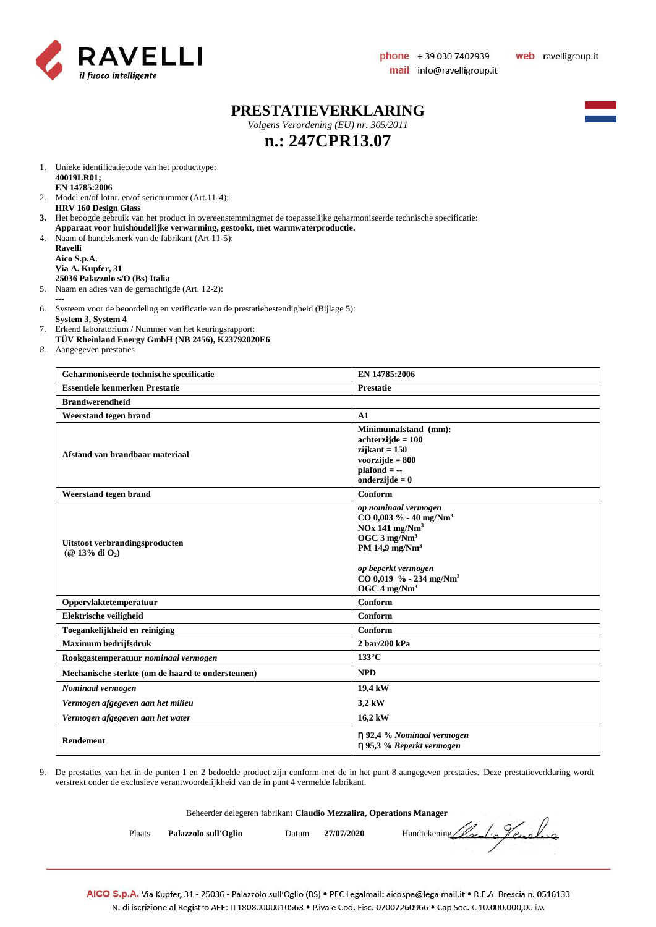

#### **PRESTATIEVERKLARING**

*Volgens Verordening (EU) nr. 305/2011*



## **n.: 247CPR13.07**

- 1. Unieke identificatiecode van het producttype: **40019LR01; EN 14785:2006**
- 2. Model en/of lotnr. en/of serienummer (Art.11-4): **HRV 160 Design Glass**
- **3.** Het beoogde gebruik van het product in overeenstemmingmet de toepasselijke geharmoniseerde technische specificatie:
- **Apparaat voor huishoudelijke verwarming, gestookt, met warmwaterproductie.** 4. Naam of handelsmerk van de fabrikant (Art 11-5):
- **Ravelli Aico S.p.A. Via A. Kupfer, 31 25036 Palazzolo s/O (Bs) Italia**
- 5. Naam en adres van de gemachtigde (Art. 12-2):
- **---** 6. Systeem voor de beoordeling en verificatie van de prestatiebestendigheid (Bijlage 5):
- **System 3, System 4**
- 7. Erkend laboratorium / Nummer van het keuringsrapport:
- **TÜV Rheinland Energy GmbH (NB 2456), K23792020E6**
- *8.* Aangegeven prestaties

| Geharmoniseerde technische specificatie               | EN 14785:2006                                                                                                                                                                                                                                       |  |
|-------------------------------------------------------|-----------------------------------------------------------------------------------------------------------------------------------------------------------------------------------------------------------------------------------------------------|--|
| <b>Essentiele kenmerken Prestatie</b>                 | <b>Prestatie</b>                                                                                                                                                                                                                                    |  |
| <b>Brandwerendheid</b>                                |                                                                                                                                                                                                                                                     |  |
| Weerstand tegen brand                                 | A1                                                                                                                                                                                                                                                  |  |
| Afstand van brandbaar materiaal                       | Minimumafstand (mm):<br>$achterzijde = 100$<br>$zi$ jkant = 150<br>voorzijde $= 800$<br>$plafond = -$<br>onderzijde $= 0$                                                                                                                           |  |
| Weerstand tegen brand                                 | Conform                                                                                                                                                                                                                                             |  |
| Uitstoot verbrandingsproducten<br>$(Q$ 13% di $O_2$ ) | op nominaal vermogen<br>$CO$ 0,003 % - 40 mg/Nm <sup>3</sup><br>$NOx$ 141 mg/ $Nm3$<br>OGC $3 \text{ mg}/\text{Nm}^3$<br>PM 14,9 mg/Nm <sup>3</sup><br>op beperkt vermogen<br>CO 0,019 % - 234 mg/Nm <sup>3</sup><br>OGC $4 \text{ mg}/\text{Nm}^3$ |  |
| Oppervlaktetemperatuur                                | Conform                                                                                                                                                                                                                                             |  |
| Elektrische veiligheid                                | Conform                                                                                                                                                                                                                                             |  |
| Toegankelijkheid en reiniging                         | Conform                                                                                                                                                                                                                                             |  |
| <b>Maximum bedrijfsdruk</b>                           | 2 bar/200 kPa                                                                                                                                                                                                                                       |  |
| Rookgastemperatuur nominaal vermogen                  | $133^{\circ}$ C                                                                                                                                                                                                                                     |  |
| Mechanische sterkte (om de haard te ondersteunen)     | <b>NPD</b>                                                                                                                                                                                                                                          |  |
| Nominaal vermogen                                     | 19,4 kW                                                                                                                                                                                                                                             |  |
| Vermogen afgegeven aan het milieu                     | 3,2 kW                                                                                                                                                                                                                                              |  |
| Vermogen afgegeven aan het water                      | 16,2 kW                                                                                                                                                                                                                                             |  |
| Rendement                                             | η 92,4 % Nominaal vermogen<br>η 95,3 % Beperkt vermogen                                                                                                                                                                                             |  |

9. De prestaties van het in de punten 1 en 2 bedoelde product zijn conform met de in het punt 8 aangegeven prestaties. Deze prestatieverklaring wordt verstrekt onder de exclusieve verantwoordelijkheid van de in punt 4 vermelde fabrikant.

|        | Beheerder delegeren fabrikant Claudio Mezzalira, Operations Manager |       |            |                             |
|--------|---------------------------------------------------------------------|-------|------------|-----------------------------|
| Plaats | Palazzolo sull'Oglio                                                | Datum | 27/07/2020 | Handtekening Clouding Henry |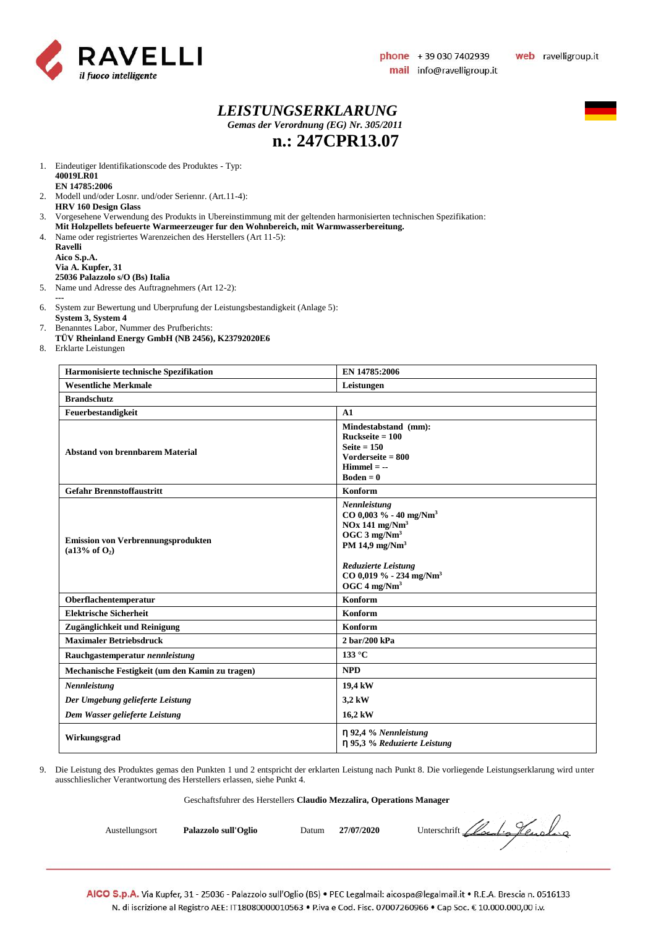

#### *LEISTUNGSERKLARUNG Gemas der Verordnung (EG) Nr. 305/2011* **n.: 247CPR13.07**



1. Eindeutiger Identifikationscode des Produktes - Typ: **40019LR01 EN 14785:2006**

- 2. Modell und/oder Losnr. und/oder Seriennr. (Art.11-4): **HRV 160 Design Glass**
- 3. Vorgesehene Verwendung des Produkts in Ubereinstimmung mit der geltenden harmonisierten technischen Spezifikation:
- **Mit Holzpellets befeuerte Warmeerzeuger fur den Wohnbereich, mit Warmwasserbereitung.**
- 4. Name oder registriertes Warenzeichen des Herstellers (Art 11-5):

**Ravelli Aico S.p.A. Via A. Kupfer, 31 25036 Palazzolo s/O (Bs) Italia**

5. Name und Adresse des Auftragnehmers (Art 12-2):

- **---** 6. System zur Bewertung und Uberprufung der Leistungsbestandigkeit (Anlage 5):
- **System 3, System 4**
- 7. Benanntes Labor, Nummer des Prufberichts: **TÜV Rheinland Energy GmbH (NB 2456), K23792020E6**
- 8. Erklarte Leistungen

| Harmonisierte technische Spezifikation                                 | EN 14785:2006                                                                                                                                                                                                                                |  |
|------------------------------------------------------------------------|----------------------------------------------------------------------------------------------------------------------------------------------------------------------------------------------------------------------------------------------|--|
| <b>Wesentliche Merkmale</b>                                            | Leistungen                                                                                                                                                                                                                                   |  |
| <b>Brandschutz</b>                                                     |                                                                                                                                                                                                                                              |  |
| Feuerbestandigkeit                                                     | A1                                                                                                                                                                                                                                           |  |
| <b>Abstand von brennbarem Material</b>                                 | Mindestabstand (mm):<br>$Ruckseite = 100$<br>Seite $= 150$<br>Vorderseite $= 800$<br>$Himmel = -$<br>$Boden = 0$                                                                                                                             |  |
| <b>Gefahr Brennstoffaustritt</b>                                       | Konform                                                                                                                                                                                                                                      |  |
| <b>Emission von Verbrennungsprodukten</b><br>(a13% of O <sub>2</sub> ) | Nennleistung<br>CO 0,003 % - 40 mg/Nm <sup>3</sup><br>$NOx$ 141 mg/ $Nm3$<br>OGC $3$ mg/Nm <sup>3</sup><br>PM 14,9 mg/Nm <sup>3</sup><br><b>Reduzierte Leistung</b><br>CO 0,019 % - 234 mg/Nm <sup>3</sup><br>OGC $4 \text{ mg}/\text{Nm}^3$ |  |
| Oberflachentemperatur                                                  | Konform                                                                                                                                                                                                                                      |  |
| <b>Elektrische Sicherheit</b>                                          | Konform                                                                                                                                                                                                                                      |  |
| Zugänglichkeit und Reinigung                                           | Konform                                                                                                                                                                                                                                      |  |
| <b>Maximaler Betriebsdruck</b>                                         | $2 \frac{\text{bar}}{200}$ kPa                                                                                                                                                                                                               |  |
| Rauchgastemperatur nennleistung                                        | 133 °C                                                                                                                                                                                                                                       |  |
| Mechanische Festigkeit (um den Kamin zu tragen)                        | <b>NPD</b>                                                                                                                                                                                                                                   |  |
| Nennleistung                                                           | 19,4 kW                                                                                                                                                                                                                                      |  |
| Der Umgebung gelieferte Leistung                                       | 3,2 kW                                                                                                                                                                                                                                       |  |
| Dem Wasser gelieferte Leistung                                         | 16,2 kW                                                                                                                                                                                                                                      |  |
| Wirkungsgrad                                                           | $\eta$ 92,4 % Nennleistung<br>η 95,3 % Reduzierte Leistung                                                                                                                                                                                   |  |

9. Die Leistung des Produktes gemas den Punkten 1 und 2 entspricht der erklarten Leistung nach Punkt 8. Die vorliegende Leistungserklarung wird unter ausschlieslicher Verantwortung des Herstellers erlassen, siehe Punkt 4.

#### Geschaftsfuhrer des Herstellers **Claudio Mezzalira, Operations Manager**

Austellungsort **Palazzolo sull'Oglio** Datum 27/07/2020 Unterschrift *Llocal Alexandre*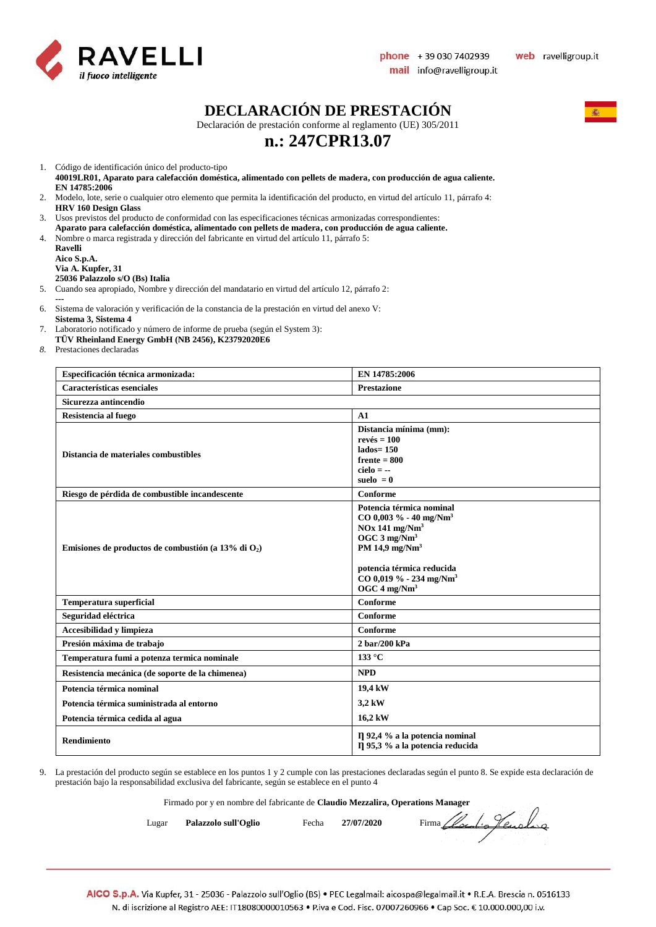

### **DECLARACIÓN DE PRESTACIÓN**

Declaración de prestación conforme al reglamento (UE) 305/2011

### **n.: 247CPR13.07**

1. Código de identificación único del producto-tipo

- **40019LR01, Aparato para calefacción doméstica, alimentado con pellets de madera, con producción de agua caliente. EN 14785:2006**
- 2. Modelo, lote, serie o cualquier otro elemento que permita la identificación del producto, en virtud del artículo 11, párrafo 4: **HRV 160 Design Glass**
- 3. Usos previstos del producto de conformidad con las especificaciones técnicas armonizadas correspondientes:
- **Aparato para calefacción doméstica, alimentado con pellets de madera, con producción de agua caliente.**
- 4. Nombre o marca registrada y dirección del fabricante en virtud del artículo 11, párrafo 5:
	- **Ravelli Aico S.p.A. Via A. Kupfer, 31 25036 Palazzolo s/O (Bs) Italia**
- 5. Cuando sea apropiado, Nombre y dirección del mandatario en virtud del artículo 12, párrafo 2:
- **---** 6. Sistema de valoración y verificación de la constancia de la prestación en virtud del anexo V:
- **Sistema 3, Sistema 4**
- 7. Laboratorio notificado y número de informe de prueba (según el System 3):
- **TÜV Rheinland Energy GmbH (NB 2456), K23792020E6**
- *8.* Prestaciones declaradas

| Especificación técnica armonizada:                     | EN 14785:2006                                                                                                                                                                                                                                   |
|--------------------------------------------------------|-------------------------------------------------------------------------------------------------------------------------------------------------------------------------------------------------------------------------------------------------|
| Características esenciales                             | <b>Prestazione</b>                                                                                                                                                                                                                              |
| Sicurezza antincendio                                  |                                                                                                                                                                                                                                                 |
| Resistencia al fuego                                   | A1                                                                                                                                                                                                                                              |
| Distancia de materiales combustibles                   | Distancia mínima (mm):<br>$rev\acute{e}s = 100$<br>$lados = 150$<br>$f$ rente = 800<br>$cielo = -$<br>suelo $= 0$                                                                                                                               |
| Riesgo de pérdida de combustible incandescente         | Conforme                                                                                                                                                                                                                                        |
| Emisiones de productos de combustión (a 13% di $O_2$ ) | Potencia térmica nominal<br>$CO$ 0,003 % - 40 mg/Nm <sup>3</sup><br>$NOx$ 141 mg/ $Nm3$<br>OGC $3 \text{ mg}/\text{Nm}^3$<br>PM 14,9 mg/ $Nm3$<br>potencia térmica reducida<br>$CO$ 0,019 % - 234 mg/Nm <sup>3</sup><br>OGC $4 \text{ mg/Nm}^3$ |
| <b>Temperatura superficial</b>                         | Conforme                                                                                                                                                                                                                                        |
| Seguridad eléctrica                                    | Conforme                                                                                                                                                                                                                                        |
| Accesibilidad y limpieza                               | Conforme                                                                                                                                                                                                                                        |
| Presión máxima de trabajo                              | 2 bar/200 kPa                                                                                                                                                                                                                                   |
| Temperatura fumi a potenza termica nominale            | 133 °C                                                                                                                                                                                                                                          |
| Resistencia mecánica (de soporte de la chimenea)       | <b>NPD</b>                                                                                                                                                                                                                                      |
| Potencia térmica nominal                               | 19,4 kW                                                                                                                                                                                                                                         |
| Potencia térmica suministrada al entorno               | 3,2 kW                                                                                                                                                                                                                                          |
| Potencia térmica cedida al agua                        | 16,2 kW                                                                                                                                                                                                                                         |
| Rendimiento                                            | Il 92,4 % a la potencia nominal<br>Il 95,3 % a la potencia reducida                                                                                                                                                                             |

9. La prestación del producto según se establece en los puntos 1 y 2 cumple con las prestaciones declaradas según el punto 8. Se expide esta declaración de prestación bajo la responsabilidad exclusiva del fabricante, según se establece en el punto 4

Firmado por y en nombre del fabricante de **Claudio Mezzalira, Operations Manager**

Lugar **Palazzolo sull'Oglio** Fecha 27/07/2020 Firma *Local de Jeuda* qu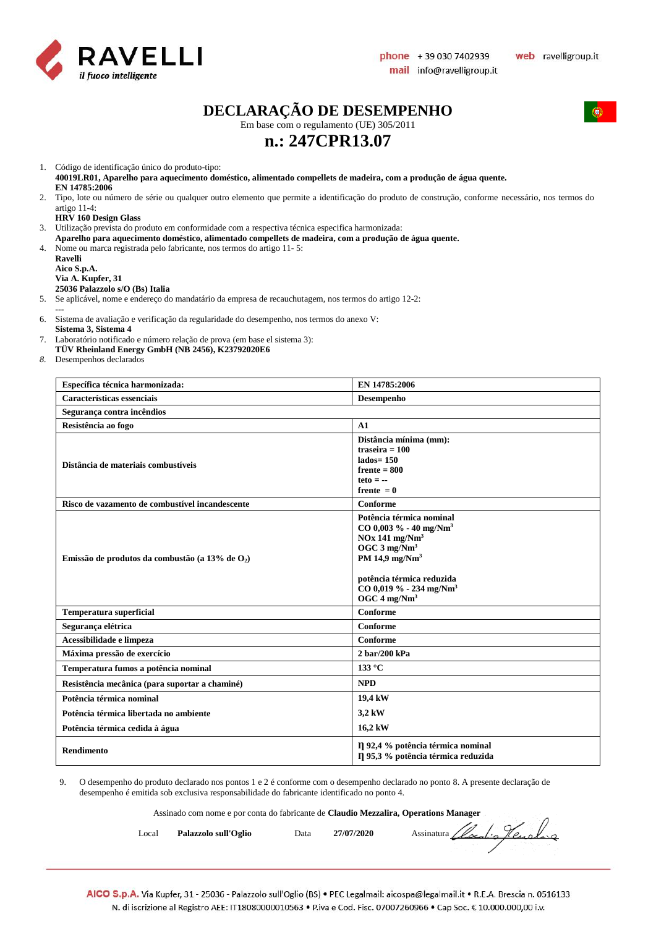

 $\sqrt{2}$ 

### **DECLARAÇÃO DE DESEMPENHO**

Em base com o regulamento (UE) 305/2011

### **n.: 247CPR13.07**

1. Código de identificação único do produto-tipo:

**40019LR01, Aparelho para aquecimento doméstico, alimentado compellets de madeira, com a produção de água quente. EN 14785:2006**

2. Tipo, lote ou número de série ou qualquer outro elemento que permite a identificação do produto de construção, conforme necessário, nos termos do artigo 11-4:

#### **HRV 160 Design Glass**

3. Utilização prevista do produto em conformidade com a respectiva técnica especifica harmonizada:

**Aparelho para aquecimento doméstico, alimentado compellets de madeira, com a produção de água quente.** 4. Nome ou marca registrada pelo fabricante, nos termos do artigo 11- 5:

**Ravelli Aico S.p.A. Via A. Kupfer, 31**

#### **25036 Palazzolo s/O (Bs) Italia**

5. Se aplicável, nome e endereço do mandatário da empresa de recauchutagem, nos termos do artigo 12-2:

**---**

6. Sistema de avaliação e verificação da regularidade do desempenho, nos termos do anexo V: **Sistema 3, Sistema 4** 

- 7. Laboratório notificado e número relação de prova (em base el sistema 3):
- **TÜV Rheinland Energy GmbH (NB 2456), K23792020E6**

*8.* Desempenhos declarados

| Específica técnica harmonizada:                    | EN 14785:2006                                                                                                                                                                                                                                             |
|----------------------------------------------------|-----------------------------------------------------------------------------------------------------------------------------------------------------------------------------------------------------------------------------------------------------------|
| Características essenciais                         | Desempenho                                                                                                                                                                                                                                                |
| Segurança contra incêndios                         |                                                                                                                                                                                                                                                           |
| Resistência ao fogo                                | $\mathbf{A}1$                                                                                                                                                                                                                                             |
| Distância de materiais combustíveis                | Distância mínima (mm):<br>traseira = $100$<br>$lados = 150$<br>$f$ rente = $800$<br>$teto = -$<br>frente $= 0$                                                                                                                                            |
| Risco de vazamento de combustível incandescente    | Conforme                                                                                                                                                                                                                                                  |
| Emissão de produtos da combustão (a 13% de $O_2$ ) | Potência térmica nominal<br>$CO$ 0,003 % - 40 mg/Nm <sup>3</sup><br>$NOx$ 141 mg/ $Nm3$<br>OGC 3 mg/Nm <sup>3</sup><br>PM 14,9 mg/Nm <sup>3</sup><br>potência térmica reduzida<br>$CO$ 0,019 % - 234 mg/Nm <sup>3</sup><br>OGC $4 \text{ mg}/\text{Nm}^3$ |
| <b>Temperatura superficial</b>                     | Conforme                                                                                                                                                                                                                                                  |
| Segurança elétrica                                 | Conforme                                                                                                                                                                                                                                                  |
| Acessibilidade e limpeza                           | Conforme                                                                                                                                                                                                                                                  |
| Máxima pressão de exercício                        | 2 bar/200 kPa                                                                                                                                                                                                                                             |
| Temperatura fumos a potência nominal               | $133^{\circ}$ C                                                                                                                                                                                                                                           |
| Resistência mecânica (para suportar a chaminé)     | <b>NPD</b>                                                                                                                                                                                                                                                |
| Potência térmica nominal                           | 19,4 kW                                                                                                                                                                                                                                                   |
| Potência térmica libertada no ambiente             | 3,2 kW                                                                                                                                                                                                                                                    |
| Potência térmica cedida à água                     | 16,2 kW                                                                                                                                                                                                                                                   |
| <b>Rendimento</b>                                  | Il 92,4 % potência térmica nominal<br>Il 95,3 % potência térmica reduzida                                                                                                                                                                                 |

9. O desempenho do produto declarado nos pontos 1 e 2 é conforme com o desempenho declarado no ponto 8. A presente declaração de desempenho é emitida sob exclusiva responsabilidade do fabricante identificado no ponto 4.

Assinado com nome e por conta do fabricante de **Claudio Mezzalira, Operations Manager**

| Local | Palazzolo sull'Oglio | Data | 27/07/2020 | Assinatura Cloudio Henoling |
|-------|----------------------|------|------------|-----------------------------|
|-------|----------------------|------|------------|-----------------------------|

AICO S.p.A. Via Kupfer, 31 - 25036 - Palazzolo sull'Oglio (BS) • PEC Legalmail: aicospa@legalmail.it • R.E.A. Brescia n. 0516133 N. di iscrizione al Registro AEE: IT18080000010563 • P.iva e Cod. Fisc. 07007260966 • Cap Soc. € 10.000.000,00 i.v.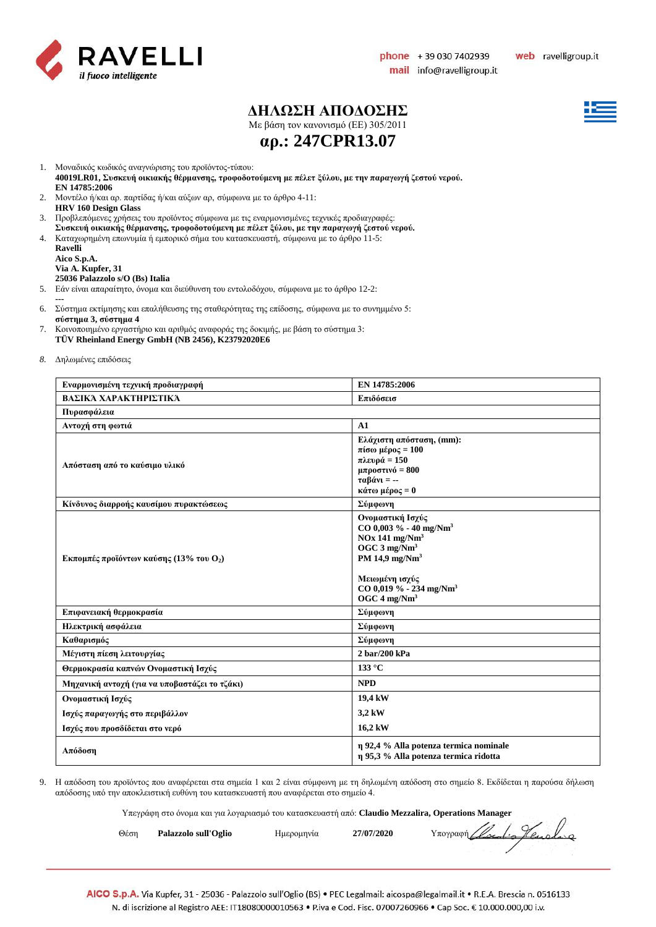

### **ΔΗΛΩΣΗ ΑΠΟΔΟΣΗΣ**

Με βάση τον κανονισμό (ΕE) 305/2011



**αρ.: 247CPR13.07**

1. Μοναδικός κωδικός αναγνώρισης του προϊόντος-τύπου:

**40019LR01, Συσκευή οικιακής θέρμανσης, τροφοδοτούμενη με πέλετ ξύλου, με την παραγωγή ζεστού νερού. EN 14785:2006**

- 2. Μοντέλο ή/και αρ. παρτίδας ή/και αύξων αρ, σύμφωνα με το άρθρο 4-11: **HRV 160 Design Glass**
- 3. Προβλεπόμενες χρήσεις του προϊόντος σύμφωνα με τις εναρμονισμένες τεχνικές προδιαγραφές:
- **Συσκευή οικιακής θέρμανσης, τροφοδοτούμενη με πέλετ ξύλου, με την παραγωγή ζεστού νερού.**
- 4. Καταχωρημένη επωνυμία ή εμπορικό σήμα του κατασκευαστή, σύμφωνα με το άρθρο 11-5:

| Ravelli                         |
|---------------------------------|
| Aico S.p.A.                     |
| Via A. Kupfer, 31               |
| 25036 Palazzolo s/O (Bs) Italia |

- 5. Εάν είναι απαραίτητο, όνομα και διεύθυνση του εντολοδόχου, σύμφωνα με το άρθρο 12-2:
- **---** 6. Σύστημα εκτίμησης και επαλήθευσης της σταθερότητας της επίδοσης, σύμφωνα με το συνημμένο 5: **σύστημα 3, σύστημα 4**
- 7. Κοινοποιημένο εργαστήριο και αριθμός αναφοράς της δοκιμής, με βάση το σύστημα 3: **TÜV Rheinland Energy GmbH (NB 2456), K23792020E6**
- *8.* Δηλωμένες επιδόσεις

| Εναρμονισμένη τεχνική προδιαγραφή                           | EN 14785:2006                                                                                                                                                                                                                                |  |  |  |  |
|-------------------------------------------------------------|----------------------------------------------------------------------------------------------------------------------------------------------------------------------------------------------------------------------------------------------|--|--|--|--|
| ΒΑΣΙΚΆ ΧΑΡΑΚΤΗΡΙΣΤΙΚΆ                                       | Επιδόσεισ                                                                                                                                                                                                                                    |  |  |  |  |
| Πυρασφάλεια                                                 |                                                                                                                                                                                                                                              |  |  |  |  |
| Αντοχή στη φωτιά                                            | A1                                                                                                                                                                                                                                           |  |  |  |  |
| Απόσταση από το καύσιμο υλικό                               | Ελάχιστη απόσταση, (mm):<br>πίσω μέρος = $100$<br>πλευρά = 150<br>μπροστινό = $800$<br>$ταβάνι = -$<br>κάτω μέρος = 0                                                                                                                        |  |  |  |  |
| Κίνδυνος διαρροής καυσίμου πυρακτώσεως                      | Σύμφωνη                                                                                                                                                                                                                                      |  |  |  |  |
| <b>Εκπομπές προϊόντων καύσης (13% του <math>O_2</math>)</b> | Ονομαστική Ισχύς<br>$CO$ 0,003 % - 40 mg/Nm <sup>3</sup><br>$NOx$ 141 mg/ $Nm3$<br>OGC $3 \text{ mg}/\text{Nm}^3$<br>PM 14,9 mg/Nm <sup>3</sup><br>Μειωμένη ισχύς<br>$CO$ 0,019 % - 234 mg/Nm <sup>3</sup><br>OGC $4 \text{ mg}/\text{Nm}^3$ |  |  |  |  |
| Επιφανειακή θερμοκρασία                                     | Σύμφωνη                                                                                                                                                                                                                                      |  |  |  |  |
| Ηλεκτρική ασφάλεια                                          | Σύμφωνη                                                                                                                                                                                                                                      |  |  |  |  |
| Καθαρισμός                                                  | Σύμφωνη                                                                                                                                                                                                                                      |  |  |  |  |
| Μέγιστη πίεση λειτουργίας                                   | $2 \frac{\text{bar}}{200}$ kPa                                                                                                                                                                                                               |  |  |  |  |
| Θερμοκρασία καπνών Ονομαστική Ισχύς                         | 133 °C                                                                                                                                                                                                                                       |  |  |  |  |
| Μηχανική αντοχή (για να υποβαστάζει το τζάκι)               | <b>NPD</b>                                                                                                                                                                                                                                   |  |  |  |  |
| Ονομαστική Ισχύς                                            | 19,4 kW                                                                                                                                                                                                                                      |  |  |  |  |
| Ισχύς παραγωγής στο περιβάλλον                              | 3,2 kW                                                                                                                                                                                                                                       |  |  |  |  |
| Ισχύς που προσδίδεται στο νερό                              | 16,2 kW                                                                                                                                                                                                                                      |  |  |  |  |
| Απόδοση                                                     | η 92,4 % Alla potenza termica nominale<br>η 95,3 % Alla potenza termica ridotta                                                                                                                                                              |  |  |  |  |

9. Η απόδοση του προϊόντος που αναφέρεται στα σημεία 1 και 2 είναι σύμφωνη με τη δηλωμένη απόδοση στο σημείο 8. Εκδίδεται η παρούσα δήλωση απόδοσης υπό την αποκλειστική ευθύνη του κατασκευαστή που αναφέρεται στο σημείο 4.

Υπεγράφη στο όνομα και για λογαριασμό του κατασκευαστή από: **Claudio Mezzalira, Operations Manager**

|      | . |                      |  |            |            |                            |
|------|---|----------------------|--|------------|------------|----------------------------|
| Θέση |   | Palazzolo sull'Oglio |  | Ημερομηνία | 27/07/2020 | Yπoypagn Clocolio Henoling |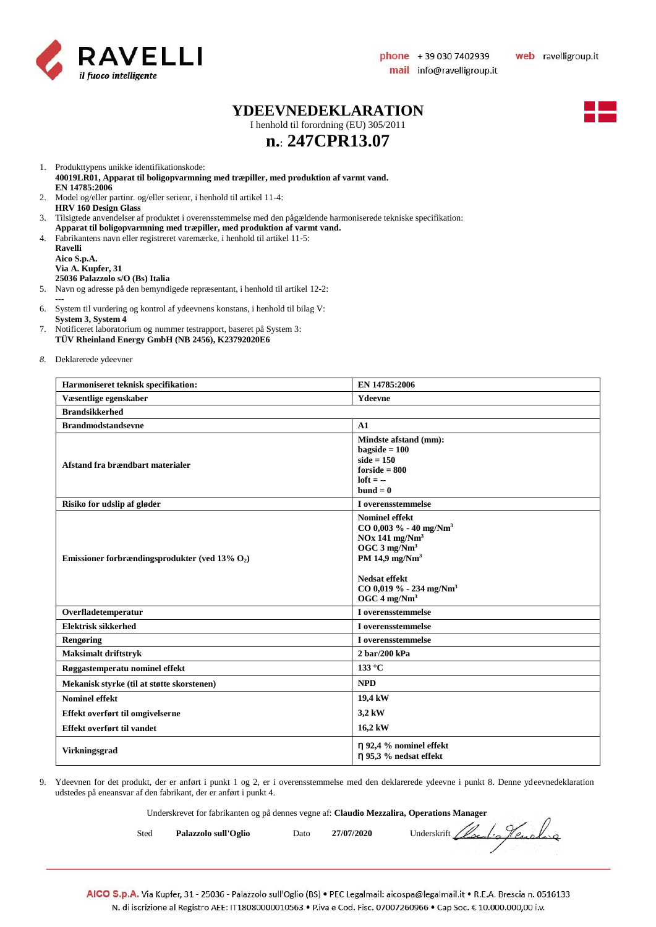

#### **YDEEVNEDEKLARATION**

I henhold til forordning (EU) 305/2011



## **n.**: **247CPR13.07**

1. Produkttypens unikke identifikationskode:

**40019LR01, Apparat til boligopvarmning med træpiller, med produktion af varmt vand. EN 14785:2006**

- 2. Model og/eller partinr. og/eller serienr, i henhold til artikel 11-4: **HRV 160 Design Glass**
- 3. Tilsigtede anvendelser af produktet i overensstemmelse med den pågældende harmoniserede tekniske specifikation:
- **Apparat til boligopvarmning med træpiller, med produktion af varmt vand.**
- 4. Fabrikantens navn eller registreret varemærke, i henhold til artikel 11-5:
- **Ravelli Aico S.p.A. Via A. Kupfer, 31 25036 Palazzolo s/O (Bs) Italia**
- 5. Navn og adresse på den bemyndigede repræsentant, i henhold til artikel 12-2: **---**
- 6. System til vurdering og kontrol af ydeevnens konstans, i henhold til bilag V: **System 3, System 4**
- 7. Notificeret laboratorium og nummer testrapport, baseret på System 3: **TÜV Rheinland Energy GmbH (NB 2456), K23792020E6**
- *8.* Deklarerede ydeevner

| Harmoniseret teknisk specifikation:               | EN 14785:2006                                                                                                                                                                                                             |  |  |  |  |
|---------------------------------------------------|---------------------------------------------------------------------------------------------------------------------------------------------------------------------------------------------------------------------------|--|--|--|--|
| Væsentlige egenskaber                             | Ydeevne                                                                                                                                                                                                                   |  |  |  |  |
| <b>Brandsikkerhed</b>                             |                                                                                                                                                                                                                           |  |  |  |  |
| <b>Brandmodstandsevne</b>                         | A1                                                                                                                                                                                                                        |  |  |  |  |
| Afstand fra brændbart materialer                  | Mindste afstand (mm):<br>$bagside = 100$<br>$side = 150$<br>$for side = 800$<br>$left = -$<br>$bund = 0$                                                                                                                  |  |  |  |  |
| Risiko for udslip af gløder                       | I overensstemmelse                                                                                                                                                                                                        |  |  |  |  |
| Emissioner forbrændingsprodukter (ved 13% $O_2$ ) | <b>Nominel effekt</b><br>$CO$ 0,003 % - 40 mg/Nm <sup>3</sup><br>$NOx$ 141 mg/ $Nm3$<br>OGC $3$ mg/Nm <sup>3</sup><br>PM 14,9 $mg/Nm3$<br>Nedsat effekt<br>CO 0,019 % - 234 mg/Nm <sup>3</sup><br>OGC $4 \text{ mg/Nm}^3$ |  |  |  |  |
| Overfladetemperatur                               | I overensstemmelse                                                                                                                                                                                                        |  |  |  |  |
| <b>Elektrisk sikkerhed</b>                        | I overensstemmelse                                                                                                                                                                                                        |  |  |  |  |
| Rengøring                                         | I overensstemmelse                                                                                                                                                                                                        |  |  |  |  |
| <b>Maksimalt driftstryk</b>                       | 2 bar/200 kPa                                                                                                                                                                                                             |  |  |  |  |
| Røggastemperatu nominel effekt                    | $133^{\circ}$ C                                                                                                                                                                                                           |  |  |  |  |
| Mekanisk styrke (til at støtte skorstenen)        | <b>NPD</b>                                                                                                                                                                                                                |  |  |  |  |
| <b>Nominel effekt</b>                             | 19,4 kW                                                                                                                                                                                                                   |  |  |  |  |
| Effekt overført til omgivelserne                  | 3,2 kW                                                                                                                                                                                                                    |  |  |  |  |
| Effekt overført til vandet                        | 16,2 kW                                                                                                                                                                                                                   |  |  |  |  |
| Virkningsgrad                                     | n 92,4 % nominel effekt<br>$\eta$ 95,3 % nedsat effekt                                                                                                                                                                    |  |  |  |  |

9. Ydeevnen for det produkt, der er anført i punkt 1 og 2, er i overensstemmelse med den deklarerede ydeevne i punkt 8. Denne ydeevnedeklaration udstedes på eneansvar af den fabrikant, der er anført i punkt 4.

Underskrevet for fabrikanten og på dennes vegne af: **Claudio Mezzalira, Operations Manager**

| Sted | Palazzolo sull'Oglio | Dato | 27/07/2020 |  | Underskrift Clocolis Henoling |
|------|----------------------|------|------------|--|-------------------------------|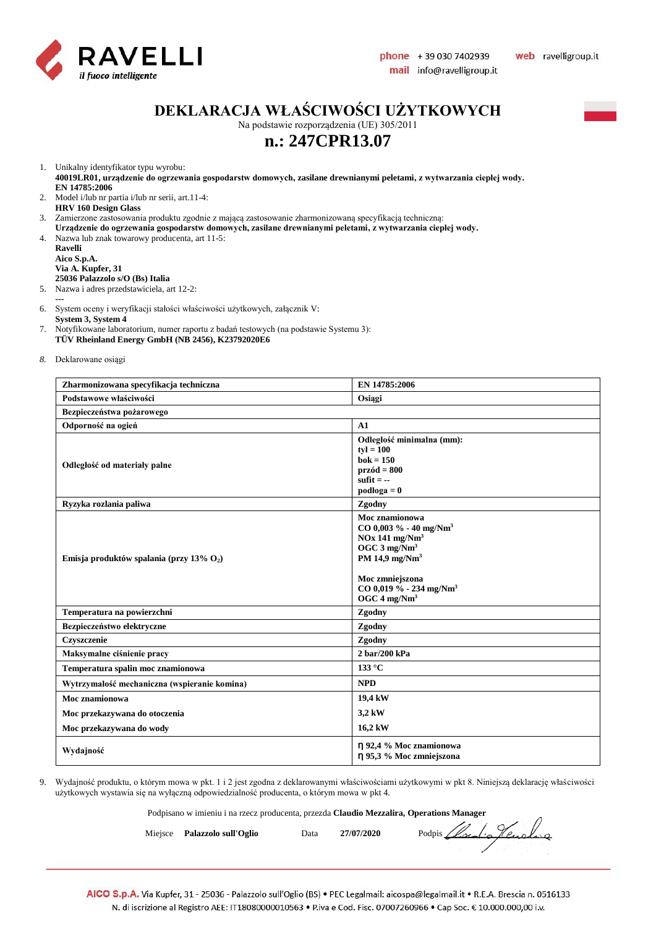

### **DEKLARACJA WŁAŚCIWOŚCI UŻYTKOWYCH**

Na podstawie rozporządzenia (UE) 305/2011

### **n.: 247CPR13.07**

1. Unikalny identyfikator typu wyrobu:

**40019LR01, urządzenie do ogrzewania gospodarstw domowych, zasilane drewnianymi peletami, z wytwarzania ciepłej wody. EN 14785:2006**

2. Model i/lub nr partia i/lub nr serii, art.11-4: **HRV 160 Design Glass**

3. Zamierzone zastosowania produktu zgodnie z mającą zastosowanie zharmonizowaną specyfikacją techniczną:

- **Urządzenie do ogrzewania gospodarstw domowych, zasilane drewnianymi peletami, z wytwarzania ciepłej wody.**
- 4. Nazwa lub znak towarowy producenta, art 11-5:

**Ravelli Aico S.p.A. Via A. Kupfer, 31 25036 Palazzolo s/O (Bs) Italia**

5. Nazwa i adres przedstawiciela, art 12-2:

**---**

6. System oceny i weryfikacji stałości właściwości użytkowych, załącznik V:

**System 3, System 4**

- 7. Notyfikowane laboratorium, numer raportu z badań testowych (na podstawie Systemu 3): **TÜV Rheinland Energy GmbH (NB 2456), K23792020E6**
- *8.* Deklarowane osiągi

| Zharmonizowana specyfikacja techniczna       | EN 14785:2006                                                                                                                                                                                                                           |  |  |  |  |
|----------------------------------------------|-----------------------------------------------------------------------------------------------------------------------------------------------------------------------------------------------------------------------------------------|--|--|--|--|
| Podstawowe właściwości                       | Osiągi                                                                                                                                                                                                                                  |  |  |  |  |
| Bezpieczeństwa pożarowego                    |                                                                                                                                                                                                                                         |  |  |  |  |
| Odporność na ogień                           | A1                                                                                                                                                                                                                                      |  |  |  |  |
| Odległość od materiały palne                 | Odległość minimalna (mm):<br>$tv = 100$<br>$bok = 150$<br>$przód = 800$<br>sufit $= -$<br>$podloga = 0$                                                                                                                                 |  |  |  |  |
| Ryzyka rozlania paliwa                       | Zgodny                                                                                                                                                                                                                                  |  |  |  |  |
| Emisja produktów spalania (przy 13% $O_2$ )  | Moc znamionowa<br>$CO$ 0,003 % - 40 mg/Nm <sup>3</sup><br>$NOx$ 141 mg/ $Nm3$<br>OGC $3$ mg/Nm <sup>3</sup><br>PM 14,9 mg/Nm <sup>3</sup><br>Moc zmniejszona<br>$CO$ 0,019 % - 234 mg/Nm <sup>3</sup><br>OGC $4 \text{ mg}/\text{Nm}^3$ |  |  |  |  |
| Temperatura na powierzchni                   | Zgodny                                                                                                                                                                                                                                  |  |  |  |  |
| Bezpieczeństwo elektryczne                   | Zgodny                                                                                                                                                                                                                                  |  |  |  |  |
| Czyszczenie                                  | Zgodny                                                                                                                                                                                                                                  |  |  |  |  |
| Maksymalne ciśnienie pracy                   | 2 bar/200 kPa                                                                                                                                                                                                                           |  |  |  |  |
| Temperatura spalin moc znamionowa            | 133 °C                                                                                                                                                                                                                                  |  |  |  |  |
| Wytrzymałość mechaniczna (wspieranie komina) | <b>NPD</b>                                                                                                                                                                                                                              |  |  |  |  |
| Moc znamionowa                               | 19,4 kW                                                                                                                                                                                                                                 |  |  |  |  |
| Moc przekazywana do otoczenia                | 3,2 kW                                                                                                                                                                                                                                  |  |  |  |  |
| Moc przekazywana do wody                     | 16,2 kW                                                                                                                                                                                                                                 |  |  |  |  |
| Wydajność                                    | n 92,4 % Moc znamionowa<br>η 95,3 % Moc zmniejszona                                                                                                                                                                                     |  |  |  |  |

9. Wydajność produktu, o którym mowa w pkt. 1 i 2 jest zgodna z deklarowanymi właściwościami użytkowymi w pkt 8. Niniejszą deklarację właściwości użytkowych wystawia się na wyłączną odpowiedzialność producenta, o którym mowa w pkt 4.

Podpisano w imieniu i na rzecz producenta, przezda **Claudio Mezzalira, Operations Manager**

Miejsce **Palazzolo sull'Oglio** Data **27/07/2020** Podpis *Local: Jeunela*